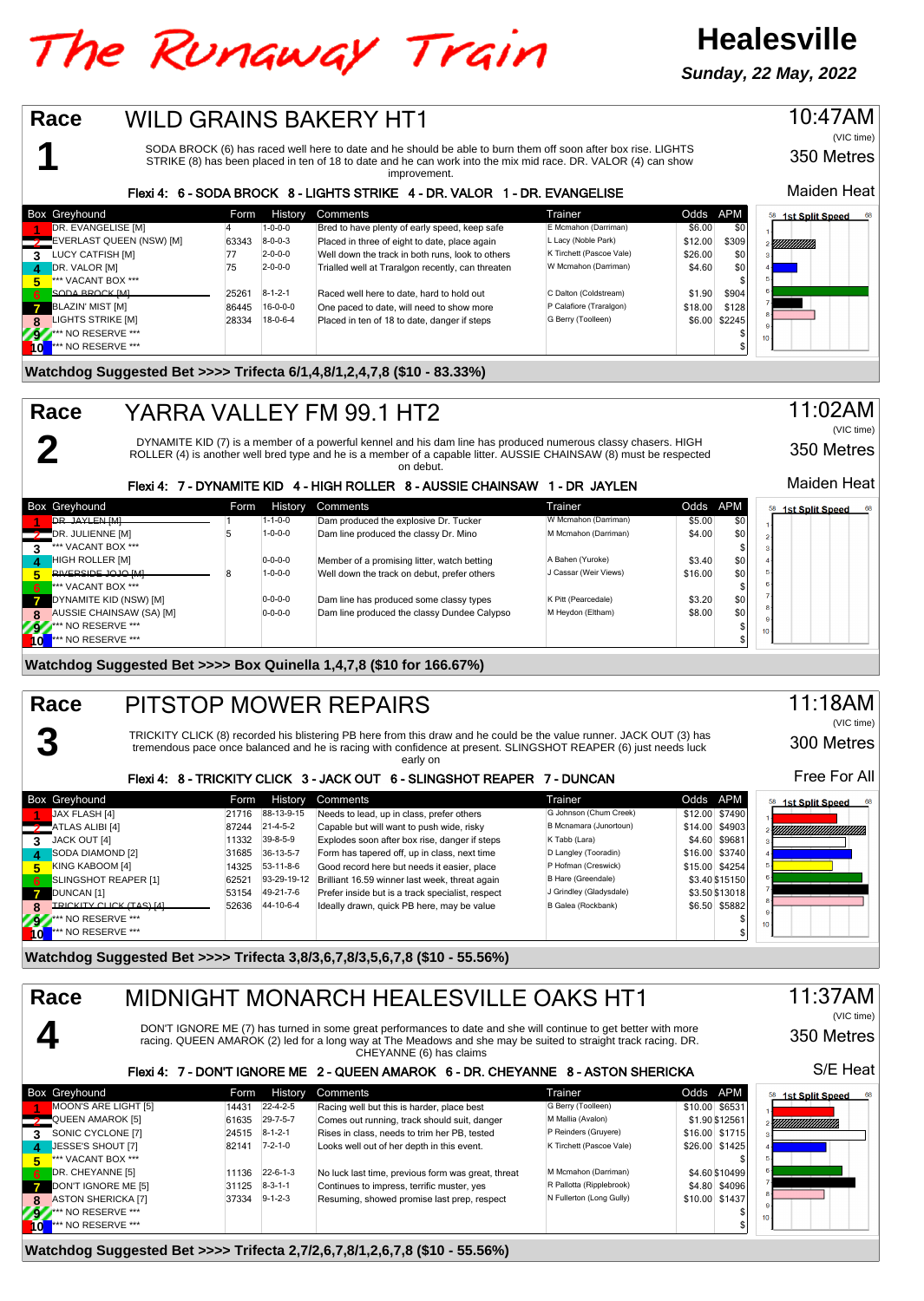# The Runaway Train

**Sunday, 22 May, 2022**

**Healesville**



**Watchdog Suggested Bet >>>> Trifecta 2,7/2,6,7,8/1,2,6,7,8 (\$10 - 55.56%)**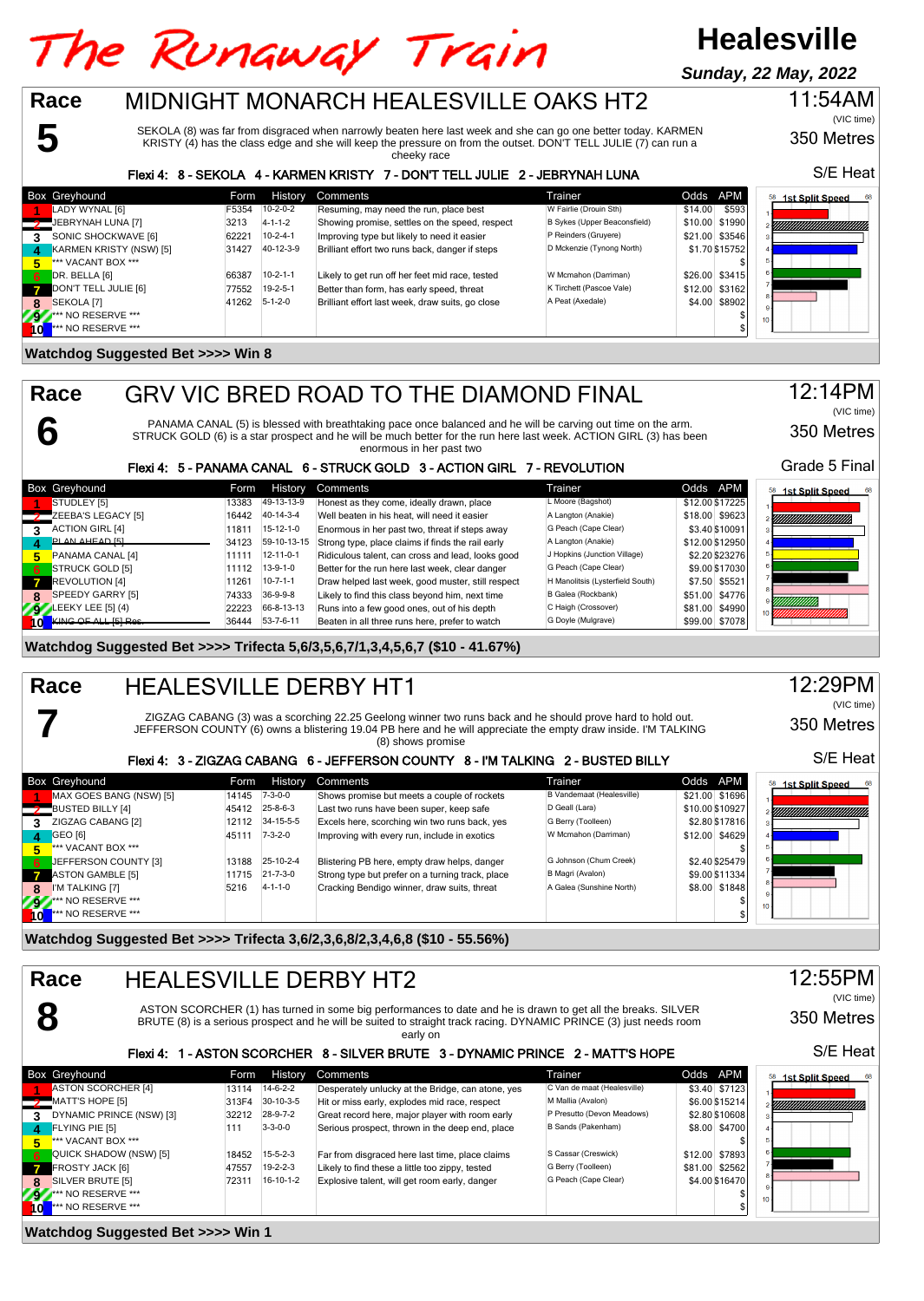#### **Healesville** The Runaway Train **Sunday, 22 May, 2022Race** MIDNIGHT MONARCH HEALESVILLE OAKS HT2 11:54AM

SEKOLA (8) was far from disgraced when narrowly beaten here last week and she can go one better today. KARMEN KRISTY (4) has the class edge and she will keep the pressure on from the outset. DON'T TELL JULIE (7) can run a

cheeky race

#### Flexi 4: 8 - SEKOLA 4 - KARMEN KRISTY 7 - DON'T TELL JULIE 2 - JEBRYNAH LUNA

|              | Box Greyhound           | Form  | History         | Comments                                         | Trainer                      | Odds APM         | 68<br>58<br>1st Split Speed |
|--------------|-------------------------|-------|-----------------|--------------------------------------------------|------------------------------|------------------|-----------------------------|
|              | LADY WYNAL [6]          | F5354 | $10-2-0-2$      | Resuming, may need the run, place best           | W Fairlie (Drouin Sth)       | \$593<br>\$14.00 |                             |
|              | JEBRYNAH LUNA [7]       | 3213  | $4 - 1 - 1 - 2$ | Showing promise, settles on the speed, respect   | B Sykes (Upper Beaconsfield) | \$10.00 \$1990   |                             |
|              | SONIC SHOCKWAVE [6]     | 62221 | $10-2-4-1$      | Improving type but likely to need it easier      | P Reinders (Gruyere)         | \$21.00 \$3546   |                             |
|              | KARMEN KRISTY (NSW) [5] | 31427 | 40-12-3-9       | Brilliant effort two runs back, danger if steps  | D Mckenzie (Tynong North)    | \$1.70 \$15752   |                             |
|              | *** VACANT BOX ***      |       |                 |                                                  |                              |                  |                             |
| 6            | DR. BELLA [6]           | 66387 | $10-2-1-1$      | Likely to get run off her feet mid race, tested  | W Mcmahon (Darriman)         | \$26.00 \$3415   |                             |
| $\mathbf{z}$ | DON'T TELL JULIE [6]    | 77552 | $19-2-5-1$      | Better than form, has early speed, threat        | K Tirchett (Pascoe Vale)     | \$12.00 \$3162   |                             |
|              | SEKOLA [7]              | 41262 | $5 - 1 - 2 - 0$ | Brilliant effort last week, draw suits, go close | A Peat (Axedale)             | \$4.00 \$8902    |                             |
| 79           | *** NO RESERVE ***      |       |                 |                                                  |                              |                  | 10 <sub>1</sub>             |
|              | *** NO RESERVE ***      |       |                 |                                                  |                              |                  |                             |

#### **Watchdog Suggested Bet >>>> Win 8**

**5**

**6**

**7**

**Race**

GRV VIC BRED ROAD TO THE DIAMOND FINAL

PANAMA CANAL (5) is blessed with breathtaking pace once balanced and he will be carving out time on the arm. STRUCK GOLD (6) is a star prospect and he will be much better for the run here last week. ACTION GIRL (3) has been enormous in her past two

#### Flexi 4: 5 - PANAMA CANAL 6 - STRUCK GOLD 3 - ACTION GIRL 7 - REVOLUTION

|    | <b>Box Greyhound</b>         | Form  | <b>History</b>    | Comments                                          | Trainer                          | Odds APM        | <sup>58</sup> 1st Split Speed<br>-68 |
|----|------------------------------|-------|-------------------|---------------------------------------------------|----------------------------------|-----------------|--------------------------------------|
|    | STUDLEY [5]                  | 13383 | 49-13-13-9        | Honest as they come, ideally drawn, place         | L Moore (Bagshot)                | \$12.00 \$17225 |                                      |
|    | ZEEBA'S LEGACY [5]           | 16442 | 40-14-3-4         | Well beaten in his heat, will need it easier      | A Langton (Anakie)               | \$18.00 \$9623  | YIIIIIIIIIIIIIIIIIIIIII              |
|    | <b>ACTION GIRL [4]</b>       | 11811 | $15-12-1-0$       | Enormous in her past two, threat if steps away    | G Peach (Cape Clear)             | \$3.40 \$10091  |                                      |
|    | PLAN AHEAD [5]               | 34123 | 59-10-13-15       | Strong type, place claims if finds the rail early | A Langton (Anakie)               | \$12.00 \$12950 |                                      |
|    | PANAMA CANAL [4]             | 11111 | $12 - 11 - 0 - 1$ | Ridiculous talent, can cross and lead, looks good | J Hopkins (Junction Village)     | \$2.20 \$23276  |                                      |
| 6. | STRUCK GOLD [5]              | 11112 | $13-9-1-0$        | Better for the run here last week, clear danger   | G Peach (Cape Clear)             | \$9.00 \$17030  |                                      |
|    | REVOLUTION [4]               | 11261 | $10 - 7 - 1 - 1$  | Draw helped last week, good muster, still respect | H Manolitsis (Lysterfield South) | \$7.50 \$5521   |                                      |
| 8. | SPEEDY GARRY [5]             | 74333 | $36-9-9-8$        | Likely to find this class beyond him, next time   | B Galea (Rockbank)               | \$51.00 \$4776  |                                      |
|    | $\sqrt{9}$ LEEKY LEE [5] (4) | 22223 | 66-8-13-13        | Runs into a few good ones, out of his depth       | C Haigh (Crossover)              | \$81.00 \$4990  |                                      |
|    | KING OF ALL I51 Res          | 36444 | $53 - 7 - 6 - 11$ | Beaten in all three runs here, prefer to watch    | G Doyle (Mulgrave)               | \$99.00 \$7078  |                                      |

#### **Watchdog Suggested Bet >>>> Trifecta 5,6/3,5,6,7/1,3,4,5,6,7 (\$10 - 41.67%)**

#### HEALESVILLE DERBY HT1 **Race**

ZIGZAG CABANG (3) was a scorching 22.25 Geelong winner two runs back and he should prove hard to hold out. JEFFERSON COUNTY (6) owns a blistering 19.04 PB here and he will appreciate the empty draw inside. I'M TALKING (8) shows promise

#### Flexi 4: 3 - ZIGZAG CABANG 6 - JEFFERSON COUNTY 8 - I'M TALKING 2 - BUSTED BILLY

|    | <b>Box Greyhound</b>          | Form  | History          | Comments                                         | Trainer                   | Odds APM        | <b>1st Split Speed</b><br>68<br>58 |
|----|-------------------------------|-------|------------------|--------------------------------------------------|---------------------------|-----------------|------------------------------------|
|    | MAX GOES BANG (NSW) [5]       | 14145 | $7 - 3 - 0 - 0$  | Shows promise but meets a couple of rockets      | B Vandemaat (Healesville) | \$21.00 \$1696  |                                    |
|    | BUSTED BILLY [4]              | 45412 | $25 - 8 - 6 - 3$ | Last two runs have been super, keep safe         | D Geall (Lara)            | \$10.00 \$10927 | ,,,,,,,,,,,,,,,,,,,,,,,,,,,,,,     |
|    | ZIGZAG CABANG [2]             | 12112 | 34-15-5-5        | Excels here, scorching win two runs back, yes    | G Berry (Toolleen)        | \$2.80 \$17816  |                                    |
|    | GEO <sub>[6]</sub>            | 45111 | $7 - 3 - 2 - 0$  | Improving with every run, include in exotics     | W Mcmahon (Darriman)      | \$12.00 \$4629  |                                    |
|    | *** VACANT BOX ***            |       |                  |                                                  |                           |                 |                                    |
| 6  | JEFFERSON COUNTY [3]          | 13188 | 25-10-2-4        | Blistering PB here, empty draw helps, danger     | G Johnson (Chum Creek)    | \$2.40 \$25479  |                                    |
|    | <b>ASTON GAMBLE [5]</b>       | 11715 | $21 - 7 - 3 - 0$ | Strong type but prefer on a turning track, place | B Magri (Avalon)          | \$9.00 \$11334  |                                    |
| 8  | I'M TALKING [7]               | 5216  | $4 - 1 - 1 - 0$  | Cracking Bendigo winner, draw suits, threat      | A Galea (Sunshine North)  | \$8.00 \$1848   |                                    |
| ж  | <b>At AND RESERVE ***</b>     |       |                  |                                                  |                           |                 | 10 <sub>1</sub>                    |
| ۱o | <sup>***</sup> NO RESERVE *** |       |                  |                                                  |                           |                 |                                    |

**Watchdog Suggested Bet >>>> Trifecta 3,6/2,3,6,8/2,3,4,6,8 (\$10 - 55.56%)**



**Watchdog Suggested Bet >>>> Win 1**

S/E Heat

(VIC time)

350 Metres



350 Metres

(VIC time)

Grade 5 Final

350 Metres

S/E Heat

(VIC time)

12:29PM

12:14PM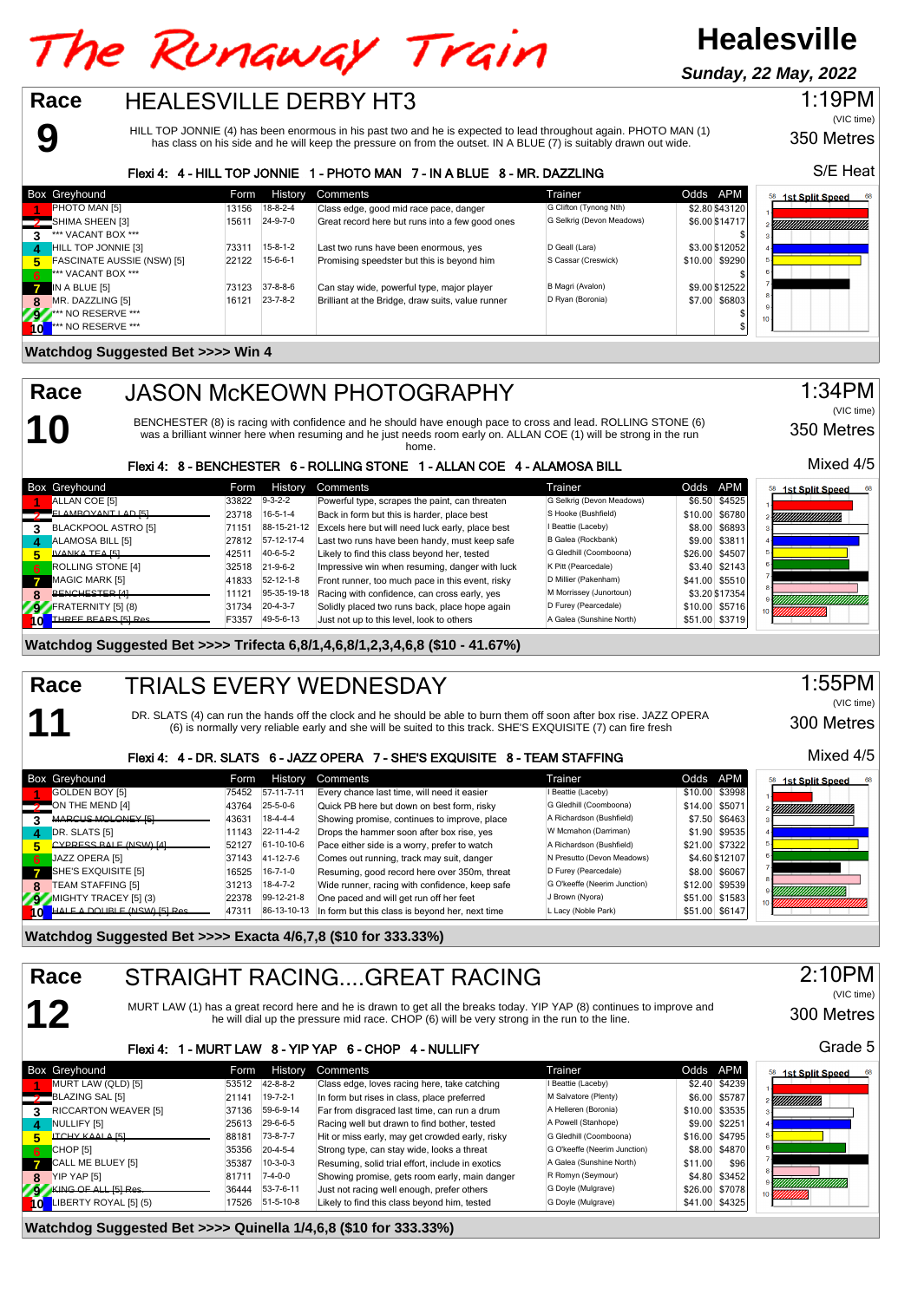# The Runaway Train

HEALESVILLE DERBY HT3

# **Healesville**

**Sunday, 22 May, 2022**

### 1:19PM (VIC time)

HILL TOP JONNIE (4) has been enormous in his past two and he is expected to lead throughout again. PHOTO MAN (1) has class on his side and he will keep the pressure on from the outset. IN A BLUE (7) is suitably drawn out wide.

#### Flexi 4: 4 - HILL TOP JONNIE 1 - PHOTO MAN 7 - IN A BLUE 8 - MR. DAZZLING

|          | <b>Box Greyhound</b>              | Form  | History          | Comments                                          | Trainer                   | Odds APM       | <b>1st Split Speed</b><br>68 |
|----------|-----------------------------------|-------|------------------|---------------------------------------------------|---------------------------|----------------|------------------------------|
|          | <b>PHOTO MAN [5]</b>              | 13156 | $18 - 8 - 2 - 4$ | Class edge, good mid race pace, danger            | G Clifton (Tynong Nth)    | \$2.80 \$43120 |                              |
|          | SHIMA SHEEN [3]                   | 15611 | 24-9-7-0         | Great record here but runs into a few good ones   | G Selkrig (Devon Meadows) | \$6.00 \$14717 | Y <i>MMMMMMMMMM</i>          |
| 3        | *** VACANT BOX ***                |       |                  |                                                   |                           |                |                              |
| $\Delta$ | HILL TOP JONNIE [3]               | 73311 | $15-8-1-2$       | Last two runs have been enormous, yes             | D Geall (Lara)            | \$3.00 \$12052 |                              |
| 5        | <b>FASCINATE AUSSIE (NSW) [5]</b> | 22122 | $15-6-6-1$       | Promising speedster but this is beyond him        | S Cassar (Creswick)       | \$10.00 \$9290 |                              |
| 6        | *** VACANT BOX ***                |       |                  |                                                   |                           |                |                              |
|          | IN A BLUE [5]                     | 73123 | $37 - 8 - 8 - 6$ | Can stay wide, powerful type, major player        | B Magri (Avalon)          | \$9.00 \$12522 |                              |
| -8       | MR. DAZZLING [5]                  | 16121 | $23 - 7 - 8 - 2$ | Brilliant at the Bridge, draw suits, value runner | D Ryan (Boronia)          | \$7.00 \$6803  |                              |
|          | ** NO RESERVE ***                 |       |                  |                                                   |                           |                | 10 <sup>1</sup>              |
|          | *** NO RESERVE ***                |       |                  |                                                   |                           |                |                              |

#### **Watchdog Suggested Bet >>>> Win 4**

**9**

**10**

**11**

**12**

**Race**

**Race**

**Race**

## JASON McKEOWN PHOTOGRAPHY

BENCHESTER (8) is racing with confidence and he should have enough pace to cross and lead. ROLLING STONE (6) was a brilliant winner here when resuming and he just needs room early on. ALLAN COE (1) will be strong in the run

home.

| Flexi 4: 8 - BENCHESTER 6 - ROLLING STONE 1 - ALLAN COE 4 - ALAMOSA BILL |                           |                                                  |                           |                |                              |  |  |
|--------------------------------------------------------------------------|---------------------------|--------------------------------------------------|---------------------------|----------------|------------------------------|--|--|
| Box Greyhound                                                            | History<br>Form           | Comments                                         | Trainer                   | Odds APM       | <b>1st Split Speed</b><br>68 |  |  |
| ALLAN COE [5]                                                            | $9 - 3 - 2 - 2$<br>33822  | Powerful type, scrapes the paint, can threaten   | G Selkrig (Devon Meadows) | \$6.50 \$4525  |                              |  |  |
| ELAMROVANT LAD [5]                                                       | $16 - 5 - 1 - 4$<br>23718 | Back in form but this is harder, place best      | S Hooke (Bushfield)       | \$10.00 \$6780 | <u>VIIIIIIIIIIIIIIIIII</u>   |  |  |
| BLACKPOOL ASTRO [5]<br>3                                                 | 88-15-21-12<br>71151      | Excels here but will need luck early, place best | I Beattie (Laceby)        | \$8.00 \$6893  |                              |  |  |
| ALAMOSA BILL [5]<br>$\mathbf{A}$                                         | 27812 57-12-17-4          | Last two runs have been handy, must keep safe    | B Galea (Rockbank)        | \$9.00 \$3811  |                              |  |  |
| IVANKA TEA [5]<br>5                                                      | 40-6-5-2<br>42511         | Likely to find this class beyond her, tested     | G Gledhill (Coomboona)    | \$26.00 \$4507 |                              |  |  |
| <b>ROLLING STONE [4]</b><br>6.                                           | $21 - 9 - 6 - 2$<br>32518 | Impressive win when resuming, danger with luck   | K Pitt (Pearcedale)       | \$3.40 \$2143  |                              |  |  |
| MAGIC MARK [5]                                                           | 52-12-1-8<br>41833        | Front runner, too much pace in this event, risky | D Millier (Pakenham)      | \$41.00 \$5510 |                              |  |  |
| BENCHESTER [4]                                                           | 95-35-19-18<br>11121      | Racing with confidence, can cross early, yes     | M Morrissey (Junortoun)   | \$3.20 \$17354 |                              |  |  |
| FRATERNITY [5] (8)<br>292                                                | $20 - 4 - 3 - 7$<br>31734 | Solidly placed two runs back, place hope again   | D Furey (Pearcedale)      | \$10.00 \$5716 |                              |  |  |
| THREE REARS [5] Res<br>10                                                | 49-5-6-13<br>F3357        | Just not up to this level, look to others        | A Galea (Sunshine North)  | \$51.00 \$3719 |                              |  |  |

#### **Watchdog Suggested Bet >>>> Trifecta 6,8/1,4,6,8/1,2,3,4,6,8 (\$10 - 41.67%)**

#### TRIALS EVERY WEDNESDAY **Race**

DR. SLATS (4) can run the hands off the clock and he should be able to burn them off soon after box rise. JAZZ OPERA (6) is normally very reliable early and she will be suited to this track. SHE'S EXQUISITE (7) can fire fresh

#### Flexi 4: 4 - DR. SLATS 6 - JAZZ OPERA 7 - SHE'S EXQUISITE 8 - TEAM STAFFING

|              | <b>Box Greyhound</b>               | Form  | History           | Comments                                        | Trainer                      | Odds APM       | 1st Split Speed |
|--------------|------------------------------------|-------|-------------------|-------------------------------------------------|------------------------------|----------------|-----------------|
|              | GOLDEN BOY [5]                     | 75452 | 57-11-7-11        | Every chance last time, will need it easier     | I Beattie (Laceby)           | \$10.00 \$3998 |                 |
|              | ON THE MEND [4]                    | 43764 | $25 - 5 - 0 - 6$  | Quick PB here but down on best form, risky      | G Gledhill (Coomboona)       | \$14.00 \$5071 | UMMUMMUMM       |
|              | MARCUS MOLONEY [5]                 | 43631 | $18-4-4-4$        | Showing promise, continues to improve, place    | A Richardson (Bushfield)     | \$7.50 \$6463  |                 |
| $\mathbf{A}$ | DR. SLATS [5]                      | 11143 | $22 - 11 - 4 - 2$ | Drops the hammer soon after box rise, yes       | W Mcmahon (Darriman)         | \$1.90 \$9535  |                 |
|              | CYPRESS BALE (NSW) [4]             | 52127 | 61-10-10-6        | Pace either side is a worry, prefer to watch    | A Richardson (Bushfield)     | \$21.00 \$7322 |                 |
| <b>67</b>    | JAZZ OPERA [5]                     | 37143 | 41-12-7-6         | Comes out running, track may suit, danger       | N Presutto (Devon Meadows)   | \$4.60 \$12107 |                 |
|              | $\blacksquare$ SHE'S EXQUISITE [5] | 16525 | $16 - 7 - 1 - 0$  | Resuming, good record here over 350m, threat    | D Furey (Pearcedale)         | \$8.00 \$6067  |                 |
| я            | <b>TEAM STAFFING [5]</b>           | 31213 | $18 - 4 - 7 - 2$  | Wide runner, racing with confidence, keep safe  | G O'keeffe (Neerim Junction) | \$12.00 \$9539 |                 |
|              | MIGHTY TRACEY [5] (3)              | 22378 | 99-12-21-8        | One paced and will get run off her feet         | J Brown (Nyora)              | \$51.00 \$1583 |                 |
|              | 10 HALF A DOUBLE (NSW) ISI Res     | 4731  | 86-13-10-13       | In form but this class is beyond her, next time | L Lacy (Noble Park)          | \$51.00 \$6147 |                 |

**Watchdog Suggested Bet >>>> Exacta 4/6,7,8 (\$10 for 333.33%)**

# STRAIGHT RACING....GREAT RACING

MURT LAW (1) has a great record here and he is drawn to get all the breaks today. YIP YAP (8) continues to improve and he will dial up the pressure mid race. CHOP (6) will be very strong in the run to the line.

#### Flexi 4: 1 - MURT LAW 8 - YIP YAP 6 - CHOP 4 - NULLIFY

|            | Box Greyhound          | Form  | <b>History</b>    | Comments                                         | Trainer                      | Odds APM |                 | <b>1st Split Speed</b><br>58 |
|------------|------------------------|-------|-------------------|--------------------------------------------------|------------------------------|----------|-----------------|------------------------------|
|            | MURT LAW (QLD) [5]     | 53512 | 42-8-8-2          | Class edge, loves racing here, take catching     | I Beattie (Laceby)           |          | \$2.40 \$4239   |                              |
|            | BLAZING SAL [5]        | 21141 | $19 - 7 - 2 - 1$  | In form but rises in class, place preferred      | M Salvatore (Plenty)         |          | \$6.00 \$5787   | YMMMMM),                     |
|            | RICCARTON WEAVER [5]   | 37136 | 59-6-9-14         | Far from disgraced last time, can run a drum     | A Helleren (Boronia)         |          | $$10.00$ \$3535 |                              |
| 4          | NULLIFY [5]            | 25613 | 29-6-6-5          | Racing well but drawn to find bother, tested     | A Powell (Stanhope)          |          | \$9.00 \$2251   |                              |
|            | <b>ITCHY KAALA [5]</b> | 88181 | $73 - 8 - 7 - 7$  | Hit or miss early, may get crowded early, risky  | G Gledhill (Coomboona)       |          | \$16.00 \$4795  |                              |
| 6.         | CHOP [5]               | 35356 | $20 - 4 - 5 - 4$  | Strong type, can stay wide, looks a threat       | G O'keeffe (Neerim Junction) |          | \$8,00 \$4870   |                              |
| <b>ATT</b> | CALL ME BLUEY [5]      | 35387 | $10-3-0-3$        | Resuming, solid trial effort, include in exotics | A Galea (Sunshine North)     | \$11.00  | \$96            |                              |
| 8.         | YIP YAP [5]            | 8171  | $7-4-0-0$         | Showing promise, gets room early, main danger    | R Romyn (Seymour)            |          | \$4.80 \$3452   |                              |
|            | KING OF ALL [5] Res.   | 36444 | $53 - 7 - 6 - 11$ | Just not racing well enough, prefer others       | G Doyle (Mulgrave)           |          | \$26.00 \$7078  |                              |
| 10         | LIBERTY ROYAL [5] (5)  | 17526 | 51-5-10-8         | Likely to find this class beyond him, tested     | G Doyle (Mulgrave)           |          | \$41.00 \$4325  | ,,,,,,,,,,,                  |

#### **Watchdog Suggested Bet >>>> Quinella 1/4,6,8 (\$10 for 333.33%)**

S/E Heat

350 Metres



350 Metres

1:34PM

(VIC time)

## 300 Metres Grade 5

2:10PM

(VIC time)

68 ۰

### 1:55PM (VIC time)

300 Metres

Mixed 4/5